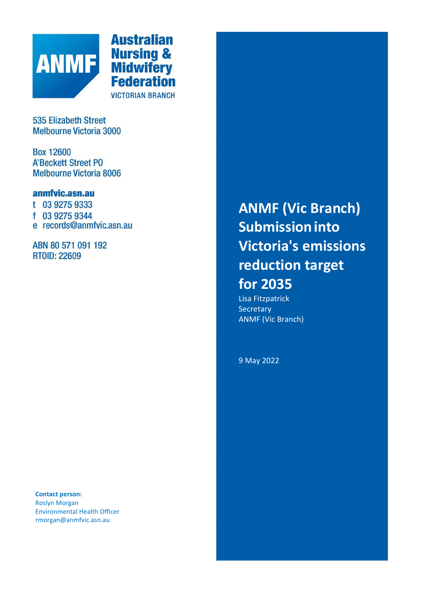

**Australian Nursing &<br>Midwifery<br>Federation VICTORIAN BRANCH** 

**535 Elizabeth Street Melbourne Victoria 3000** 

**Box 12600 A'Beckett Street PO Melbourne Victoria 8006** 

# anmfvic.asn.au

t 03 9275 9333 f 03 9275 9344 e records@anmfvic.asn.au

ABN 80 571 091 192 **RTOID: 22609** 

**Contact person:** Roslyn Morgan Environmental Health Officer rmorgan@anmfvic.asn.au

**ANMF (Vic Branch) Submissioninto Victoria's emissions reduction target for 2035**

Lisa Fitzpatrick **Secretary** ANMF (Vic Branch)

9 May 2022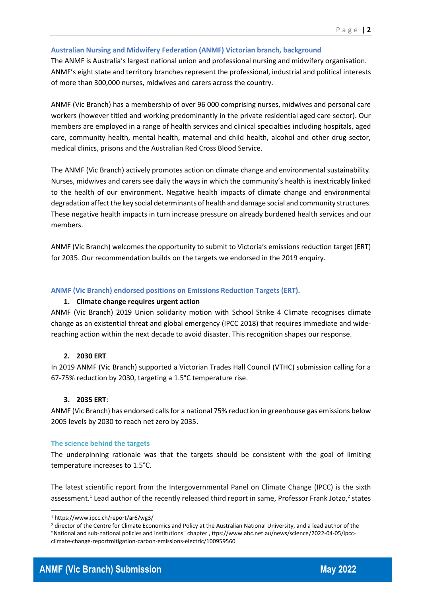### **Australian Nursing and Midwifery Federation (ANMF) Victorian branch, background**

The ANMF is Australia's largest national union and professional nursing and midwifery organisation. ANMF's eight state and territory branches represent the professional, industrial and political interests of more than 300,000 nurses, midwives and carers across the country.

ANMF (Vic Branch) has a membership of over 96 000 comprising nurses, midwives and personal care workers (however titled and working predominantly in the private residential aged care sector). Our members are employed in a range of health services and clinical specialties including hospitals, aged care, community health, mental health, maternal and child health, alcohol and other drug sector, medical clinics, prisons and the Australian Red Cross Blood Service.

The ANMF (Vic Branch) actively promotes action on climate change and environmental sustainability. Nurses, midwives and carers see daily the ways in which the community's health is inextricably linked to the health of our environment. Negative health impacts of climate change and environmental degradation affect the key social determinants of health and damage social and community structures. These negative health impacts in turn increase pressure on already burdened health services and our members.

ANMF (Vic Branch) welcomes the opportunity to submit to Victoria's emissions reduction target (ERT) for 2035. Our recommendation builds on the targets we endorsed in the 2019 enquiry.

### **ANMF (Vic Branch) endorsed positions on Emissions Reduction Targets (ERT).**

### **1. Climate change requires urgent action**

ANMF (Vic Branch) 2019 Union solidarity motion with School Strike 4 Climate recognises climate change as an existential threat and global emergency (IPCC 2018) that requires immediate and wide‐ reaching action within the next decade to avoid disaster. This recognition shapes our response.

### **2. 2030 ERT**

In 2019 ANMF (Vic Branch) supported a Victorian Trades Hall Council (VTHC) submission calling for a 67‐75% reduction by 2030, targeting a 1.5°C temperature rise.

### **3. 2035 ERT**:

ANMF (Vic Branch) has endorsed calls for a national 75% reduction in greenhouse gas emissions below 2005 levels by 2030 to reach net zero by 2035.

### **The science behind the targets**

The underpinning rationale was that the targets should be consistent with the goal of limiting temperature increases to 1.5°C.

The latest scientific report from the Intergovernmental Panel on Climate Change (IPCC) is the sixth assessment.<sup>1</sup> Lead author of the recently released third report in same, Professor Frank Jotzo,<sup>2</sup> states

<sup>1</sup> https://www.ipcc.ch/report/ar6/wg3/

<sup>2</sup> director of the Centre for Climate Economics and Policy at the Australian National University, and a lead author of the "National and sub-national policies and institutions" chapter , ttps://www.abc.net.au/news/science/2022‐04‐05/ipcc‐ climate‐change‐reportmitigation‐carbon‐emissions‐electric/100959560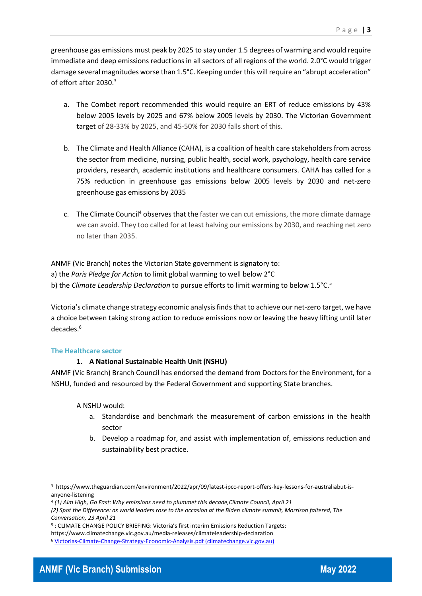greenhouse gas emissions must peak by 2025 to stay under 1.5 degrees of warming and would require immediate and deep emissions reductions in all sectors of all regions of the world. 2.0°C would trigger damage several magnitudes worse than 1.5°C. Keeping under this will require an "abrupt acceleration" of effort after 2030.<sup>3</sup>

- a. The Combet report recommended this would require an ERT of reduce emissions by 43% below 2005 levels by 2025 and 67% below 2005 levels by 2030. The Victorian Government target of 28‐33% by 2025, and 45‐50% for 2030 falls short of this.
- b. The Climate and Health Alliance (CAHA), is a coalition of health care stakeholders from across the sector from medicine, nursing, public health, social work, psychology, health care service providers, research, academic institutions and healthcare consumers. CAHA has called for a 75% reduction in greenhouse gas emissions below 2005 levels by 2030 and net‐zero greenhouse gas emissions by 2035
- c. The Climate Council<sup>4</sup> observes that the faster we can cut emissions, the more climate damage we can avoid. They too called for at least halving our emissions by 2030, and reaching net zero no later than 2035.

ANMF (Vic Branch) notes the Victorian State government is signatory to: a) the *Paris Pledge for Action* to limit global warming to well below 2°C b) the *Climate Leadership Declaration* to pursue efforts to limit warming to below 1.5°C.<sup>5</sup>

Victoria's climate change strategy economic analysis finds that to achieve our net-zero target, we have a choice between taking strong action to reduce emissions now or leaving the heavy lifting until later decades.<sup>6</sup>

### **The Healthcare sector**

## **1. A National Sustainable Health Unit (NSHU)**

ANMF (Vic Branch) Branch Council has endorsed the demand from Doctors for the Environment, for a NSHU, funded and resourced by the Federal Government and supporting State branches.

A NSHU would:

- a. Standardise and benchmark the measurement of carbon emissions in the health sector
- b. Develop a roadmap for, and assist with implementation of, emissions reduction and sustainability best practice.



<sup>3</sup> https://www.theguardian.com/environment/2022/apr/09/latest-ipcc-report-offers-key-lessons-for-australiabut-isanyone‐listening

<sup>4</sup> *(1) Aim High, Go Fast: Why emissions need to plummet this decade,Climate Council, April 21*

*<sup>(2)</sup> Spot the Difference: as world leaders rose to the occasion at the Biden climate summit, Morrison faltered, The Conversation, 23 April 21*

<sup>5</sup> : CLIMATE CHANGE POLICY BRIEFING: Victoria's first interim Emissions Reduction Targets;

https://www.climatechange.vic.gov.au/media‐releases/climateleadership‐declaration

<sup>6</sup> [Victorias-Climate-Change-Strategy-Economic-Analysis.pdf \(climatechange.vic.gov.au\)](https://www.climatechange.vic.gov.au/__data/assets/pdf_file/0023/521357/Victorias-Climate-Change-Strategy-Economic-Analysis.pdf)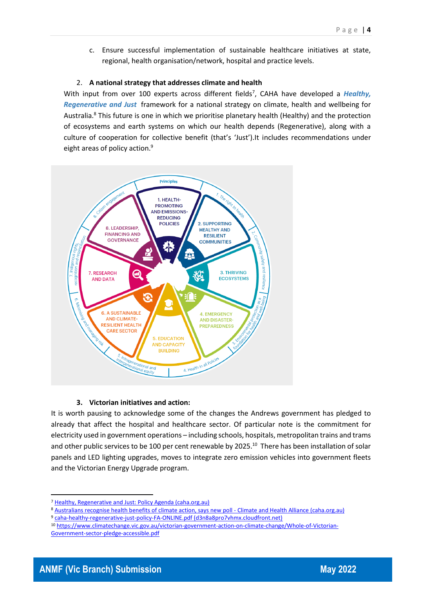c. Ensure successful implementation of sustainable healthcare initiatives at state, regional, health organisation/network, hospital and practice levels.

### 2. **A national strategy that addresses climate and health**

With input from over 100 experts across different fields<sup>7</sup>, CAHA have developed a *Healthy*, *[Regenerative and Just](https://www.caha.org.au/endorse_hrj)* framework for a national strategy on climate, health and wellbeing for Australia.<sup>8</sup> This future is one in which we prioritise planetary health (Healthy) and the protection of ecosystems and earth systems on which our health depends (Regenerative), along with a culture of cooperation for collective benefit (that's 'Just').It includes recommendations under eight areas of policy action.<sup>9</sup>



### **3. Victorian initiatives and action:**

It is worth pausing to acknowledge some of the changes the Andrews government has pledged to already that affect the hospital and healthcare sector. Of particular note is the commitment for electricity used in government operations – including schools, hospitals, metropolitan trains and trams and other public services to be 100 per cent renewable by 2025.<sup>10</sup> There has been installation of solar panels and LED lighting upgrades, moves to integrate zero emission vehicles into government fleets and the Victorian Energy Upgrade program.

<sup>7</sup> [Healthy, Regenerative and Just: Policy Agenda \(caha.org.au\)](https://www.caha.org.au/hrj-agenda)

<sup>8</sup> [Australians recognise health benefits of climate action, says new poll -](https://www.caha.org.au/mr_220316) Climate and Health Alliance (caha.org.au)

<sup>9</sup> [caha-healthy-regenerative-just-policy-FA-ONLINE.pdf \(d3n8a8pro7vhmx.cloudfront.net\)](https://d3n8a8pro7vhmx.cloudfront.net/caha/pages/1922/attachments/original/1614376057/caha-healthy-regenerative-just-policy-FA-ONLINE.pdf?1614376057)

<sup>10</sup> [https://www.climatechange.vic.gov.au/victorian-government-action-on-climate-change/Whole-of-Victorian-](https://www.climatechange.vic.gov.au/victorian-government-action-on-climate-change/Whole-of-Victorian-Government-sector-pledge-accessible.pdf)[Government-sector-pledge-accessible.pdf](https://www.climatechange.vic.gov.au/victorian-government-action-on-climate-change/Whole-of-Victorian-Government-sector-pledge-accessible.pdf)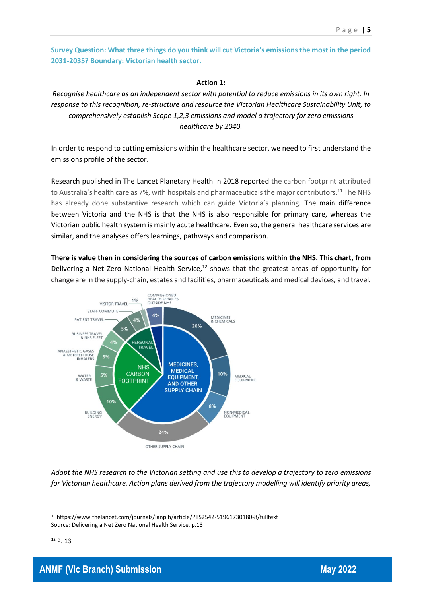**Survey Question: What three things do you think will cut Victoria's emissions the most in the period 2031‐2035? Boundary: Victorian health sector.**

#### **Action 1:**

*Recognise healthcare as an independent sector with potential to reduce emissions in its own right. In response to this recognition, re-structure and resource the Victorian Healthcare Sustainability Unit, to comprehensively establish Scope 1,2,3 emissions and model a trajectory for zero emissions healthcare by 2040.*

In order to respond to cutting emissions within the healthcare sector, we need to first understand the emissions profile of the sector.

Research published in The Lancet Planetary Health in 2018 reported the carbon footprint attributed to Australia's health care as 7%, with hospitals and pharmaceuticals the major contributors.<sup>11</sup> The NHS has already done substantive research which can guide Victoria's planning. The main difference between Victoria and the NHS is that the NHS is also responsible for primary care, whereas the Victorian public health system is mainly acute healthcare. Even so, the general healthcare services are similar, and the analyses offers learnings, pathways and comparison.

**There is value then in considering the sources of carbon emissions within the NHS. This chart, from**  Delivering a Net Zero National Health Service,<sup>12</sup> shows that the greatest areas of opportunity for change are in the supply-chain, estates and facilities, pharmaceuticals and medical devices, and travel.



*Adapt the NHS research to the Victorian setting and use this to develop a trajectory to zero emissions for Victorian healthcare. Action plans derived from the trajectory modelling will identify priority areas,* 

<sup>11</sup> https://www.thelancet.com/journals/lanplh/article/PIIS2542‐51961730180‐8/fulltext Source: Delivering a Net Zero National Health Service, p.13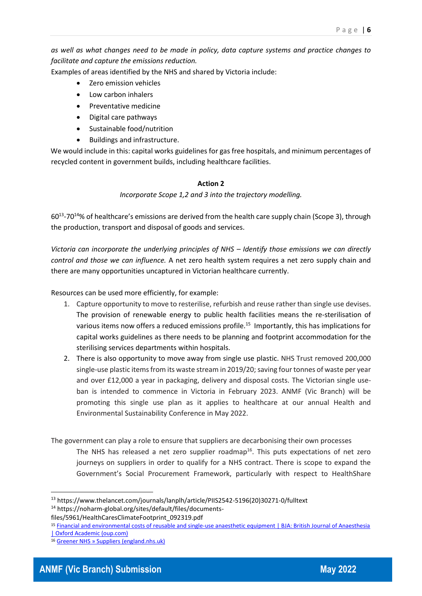*as well as what changes need to be made in policy, data capture systems and practice changes to facilitate and capture the emissions reduction.*

Examples of areas identified by the NHS and shared by Victoria include:

- Zero emission vehicles
- Low carbon inhalers
- Preventative medicine
- Digital care pathways
- Sustainable food/nutrition
- Buildings and infrastructure.

We would include in this: capital works guidelines for gas free hospitals, and minimum percentages of recycled content in government builds, including healthcare facilities.

## **Action 2**

*Incorporate Scope 1,2 and 3 into the trajectory modelling.*

60<sup>13</sup>-70<sup>14</sup>% of healthcare's emissions are derived from the health care supply chain (Scope 3), through the production, transport and disposal of goods and services.

*Victoria can incorporate the underlying principles of NHS – Identify those emissions we can directly control and those we can influence.* A net zero health system requires a net zero supply chain and there are many opportunities uncaptured in Victorian healthcare currently.

Resources can be used more efficiently, for example:

- 1. Capture opportunity to move to resterilise, refurbish and reuse rather than single use devises. The provision of renewable energy to public health facilities means the re-sterilisation of various items now offers a reduced emissions profile.<sup>15</sup> Importantly, this has implications for capital works guidelines as there needs to be planning and footprint accommodation for the sterilising services departments within hospitals.
- 2. There is also opportunity to move away from single use plastic. NHS Trust removed 200,000 single-use plastic items from its waste stream in 2019/20; saving four tonnes of waste per year and over £12,000 a year in packaging, delivery and disposal costs. The Victorian single useban is intended to commence in Victoria in February 2023. ANMF (Vic Branch) will be promoting this single use plan as it applies to healthcare at our annual Health and Environmental Sustainability Conference in May 2022.

The government can play a role to ensure that suppliers are decarbonising their own processes

The NHS has released a net zero supplier roadmap<sup>16</sup>. This puts expectations of net zero journeys on suppliers in order to qualify for a NHS contract. There is scope to expand the Government's Social Procurement Framework, particularly with respect to HealthShare



<sup>13</sup> https://www.thelancet.com/journals/lanplh/article/PIIS2542-5196(20)30271-0/fulltext <sup>14</sup> https://noharm-global.org/sites/default/files/documents-

files/5961/HealthCaresClimateFootprint\_092319.pdf

<sup>15</sup> [Financial and environmental costs of reusable and single-use anaesthetic equipment | BJA: British Journal of Anaesthesia](https://academic.oup.com/bja/article/118/6/862/3828038)  [| Oxford Academic \(oup.com\)](https://academic.oup.com/bja/article/118/6/862/3828038)

<sup>16</sup> [Greener NHS » Suppliers \(england.nhs.uk\)](https://www.england.nhs.uk/greenernhs/get-involved/suppliers/)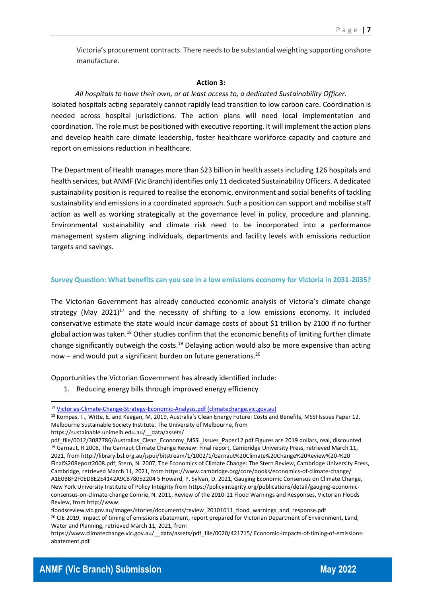Victoria's procurement contracts. There needs to be substantial weighting supporting onshore manufacture.

#### **Action 3:**

*All hospitals to have their own, or at least access to, a dedicated Sustainability Officer.* Isolated hospitals acting separately cannot rapidly lead transition to low carbon care. Coordination is needed across hospital jurisdictions. The action plans will need local implementation and coordination. The role must be positioned with executive reporting. It will implement the action plans and develop health care climate leadership, foster healthcare workforce capacity and capture and report on emissions reduction in healthcare.

The Department of Health manages more than \$23 billion in health assets including 126 hospitals and health services, but ANMF (Vic Branch) identifies only 11 dedicated Sustainability Officers. A dedicated sustainability position is required to realise the economic, environment and social benefits of tackling sustainability and emissions in a coordinated approach. Such a position can support and mobilise staff action as well as working strategically at the governance level in policy, procedure and planning. Environmental sustainability and climate risk need to be incorporated into a performance management system aligning individuals, departments and facility levels with emissions reduction targets and savings.

#### **Survey Question: What benefits can you see in a low emissions economy for Victoria in 2031-2035?**

The Victorian Government has already conducted economic analysis of Victoria's climate change strategy (May 2021)<sup>17</sup> and the necessity of shifting to a low emissions economy. It included conservative estimate the state would incur damage costs of about \$1 trillion by 2100 if no further global action was taken.<sup>18</sup> Other studies confirm that the economic benefits of limiting further climate change significantly outweigh the costs.<sup>19</sup> Delaying action would also be more expensive than acting now – and would put a significant burden on future generations.<sup>20</sup>

Opportunities the Victorian Government has already identified include:

1. Reducing energy bills through improved energy efficiency

https://sustainable.unimelb.edu.au/\_\_data/assets/

<sup>17</sup> [Victorias-Climate-Change-Strategy-Economic-Analysis.pdf \(climatechange.vic.gov.au\)](https://www.climatechange.vic.gov.au/__data/assets/pdf_file/0023/521357/Victorias-Climate-Change-Strategy-Economic-Analysis.pdf)

<sup>18</sup> Kompas, T., Witte, E. and Keegan, M. 2019, Australia's Clean Energy Future: Costs and Benefits, MSSI Issues Paper 12, Melbourne Sustainable Society Institute, The University of Melbourne, from

pdf file/0012/3087786/Australias Clean Economy MSSI Issues Paper12.pdf Figures are 2019 dollars, real, discounted <sup>19</sup> Garnaut, R 2008, The Garnaut Climate Change Review: Final report, Cambridge University Press, retrieved March 11, 2021, from http://library.bsl.org.au/jspui/bitstream/1/1002/1/Garnaut%20Climate%20Change%20Review%20-%20 Final%20Report2008.pdf; Stern, N. 2007, The Economics of Climate Change: The Stern Review, Cambridge University Press, Cambridge, retrieved March 11, 2021, from https://www.cambridge.org/core/books/economics-of-climate-change/ A1E0BBF2F0ED8E2E4142A9C878052204 5 Howard, P. Sylvan, D. 2021, Gauging Economic Consensus on Climate Change, New York University Institute of Policy Integrity from https://policyintegrity.org/publications/detail/gauging-economicconsensus-on-climate-change Comrie, N. 2011, Review of the 2010-11 Flood Warnings and Responses, Victorian Floods Review, from http://www.

floodsreview.vic.gov.au/images/stories/documents/review\_20101011\_flood\_warnings\_and\_response.pdf <sup>20</sup> CIE 2019, Impact of timing of emissions abatement, report prepared for Victorian Department of Environment, Land, Water and Planning, retrieved March 11, 2021, from

https://www.climatechange.vic.gov.au/ data/assets/pdf file/0020/421715/ Economic-impacts-of-timing-of-emissionsabatement.pdf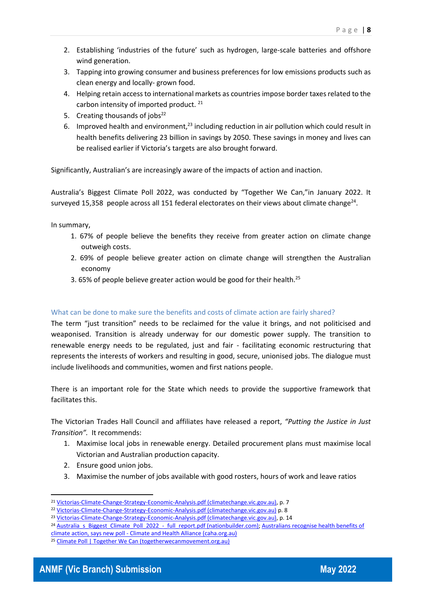- 2. Establishing 'industries of the future' such as hydrogen, large-scale batteries and offshore wind generation.
- 3. Tapping into growing consumer and business preferences for low emissions products such as clean energy and locally- grown food.
- 4. Helping retain access to international markets as countries impose border taxes related to the carbon intensity of imported product.<sup>21</sup>
- 5. Creating thousands of  $jobs<sup>22</sup>$
- 6. Improved health and environment, $^{23}$  including reduction in air pollution which could result in health benefits delivering 23 billion in savings by 2050. These savings in money and lives can be realised earlier if Victoria's targets are also brought forward.

Significantly, Australian's are increasingly aware of the impacts of action and inaction.

Australia's Biggest Climate Poll 2022, was conducted by "Together We Can,"in January 2022. It surveyed 15,358 people across all 151 federal electorates on their views about climate change<sup>24</sup>.

In summary,

- 1. 67% of people believe the benefits they receive from greater action on climate change outweigh costs.
- 2. 69% of people believe greater action on climate change will strengthen the Australian economy
- 3. 65% of people believe greater action would be good for their health.<sup>25</sup>

### What can be done to make sure the benefits and costs of climate action are fairly shared?

The term "just transition" needs to be reclaimed for the value it brings, and not politicised and weaponised. Transition is already underway for our domestic power supply. The transition to renewable energy needs to be regulated, just and fair - facilitating economic restructuring that represents the interests of workers and resulting in good, secure, unionised jobs. The dialogue must include livelihoods and communities, women and first nations people.

There is an important role for the State which needs to provide the supportive framework that facilitates this.

The Victorian Trades Hall Council and affiliates have released a report, *"Putting the Justice in Just Transition".* It recommends:

- 1. Maximise local jobs in renewable energy. Detailed procurement plans must maximise local Victorian and Australian production capacity.
- 2. Ensure good union jobs.
- 3. Maximise the number of jobs available with good rosters, hours of work and leave ratios



<sup>21</sup> [Victorias-Climate-Change-Strategy-Economic-Analysis.pdf \(climatechange.vic.gov.au\),](https://www.climatechange.vic.gov.au/__data/assets/pdf_file/0023/521357/Victorias-Climate-Change-Strategy-Economic-Analysis.pdf) p. 7

<sup>22</sup> [Victorias-Climate-Change-Strategy-Economic-Analysis.pdf \(climatechange.vic.gov.au\)](https://www.climatechange.vic.gov.au/__data/assets/pdf_file/0023/521357/Victorias-Climate-Change-Strategy-Economic-Analysis.pdf) p. 8

<sup>&</sup>lt;sup>23</sup> [Victorias-Climate-Change-Strategy-Economic-Analysis.pdf \(climatechange.vic.gov.au\),](https://www.climatechange.vic.gov.au/__data/assets/pdf_file/0023/521357/Victorias-Climate-Change-Strategy-Economic-Analysis.pdf) p. 14

<sup>&</sup>lt;sup>24</sup> [Australia\\_s\\_Biggest\\_Climate\\_Poll\\_2022\\_-\\_full\\_report.pdf \(nationbuilder.com\);](https://assets.nationbuilder.com/caha/pages/2653/attachments/original/1647385355/Australia_s_Biggest_Climate_Poll_2022_-_full_report.pdf?1647385355) Australians recognise health benefits of

climate action, says new poll - [Climate and Health Alliance \(caha.org.au\)](https://www.caha.org.au/mr_220316) <sup>25</sup> [Climate Poll | Together We Can \(togetherwecanmovement.org.au\)](https://togetherwecanmovement.org.au/poll)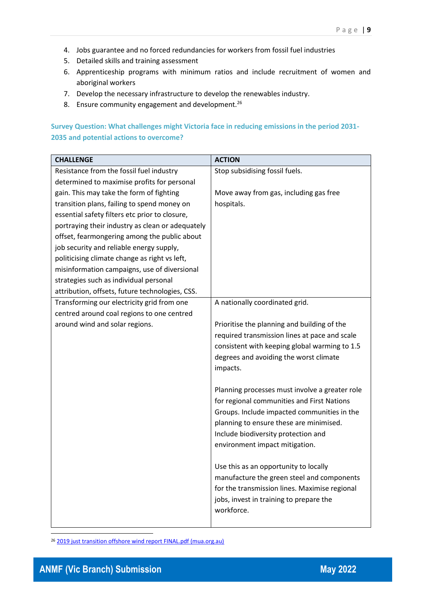- 4. Jobs guarantee and no forced redundancies for workers from fossil fuel industries
- 5. Detailed skills and training assessment
- 6. Apprenticeship programs with minimum ratios and include recruitment of women and aboriginal workers
- 7. Develop the necessary infrastructure to develop the renewables industry.
- 8. Ensure community engagement and development.<sup>26</sup>

# **Survey Question: What challenges might Victoria face in reducing emissions in the period 2031- 2035 and potential actions to overcome?**

| <b>CHALLENGE</b>                                 | <b>ACTION</b>                                  |
|--------------------------------------------------|------------------------------------------------|
| Resistance from the fossil fuel industry         | Stop subsidising fossil fuels.                 |
| determined to maximise profits for personal      |                                                |
| gain. This may take the form of fighting         | Move away from gas, including gas free         |
| transition plans, failing to spend money on      | hospitals.                                     |
| essential safety filters etc prior to closure,   |                                                |
| portraying their industry as clean or adequately |                                                |
| offset, fearmongering among the public about     |                                                |
| job security and reliable energy supply,         |                                                |
| politicising climate change as right vs left,    |                                                |
| misinformation campaigns, use of diversional     |                                                |
| strategies such as individual personal           |                                                |
| attribution, offsets, future technologies, CSS.  |                                                |
| Transforming our electricity grid from one       | A nationally coordinated grid.                 |
| centred around coal regions to one centred       |                                                |
| around wind and solar regions.                   | Prioritise the planning and building of the    |
|                                                  | required transmission lines at pace and scale  |
|                                                  | consistent with keeping global warming to 1.5  |
|                                                  | degrees and avoiding the worst climate         |
|                                                  | impacts.                                       |
|                                                  |                                                |
|                                                  | Planning processes must involve a greater role |
|                                                  | for regional communities and First Nations     |
|                                                  | Groups. Include impacted communities in the    |
|                                                  | planning to ensure these are minimised.        |
|                                                  | Include biodiversity protection and            |
|                                                  | environment impact mitigation.                 |
|                                                  | Use this as an opportunity to locally          |
|                                                  | manufacture the green steel and components     |
|                                                  | for the transmission lines. Maximise regional  |
|                                                  | jobs, invest in training to prepare the        |
|                                                  | workforce.                                     |
|                                                  |                                                |

<sup>26</sup> [2019 just transition offshore wind report FINAL.pdf \(mua.org.au\)](https://www.mua.org.au/sites/mua.org.au/files/uploads/Submissions/2019%20just%20transition%20offshore%20wind%20report%20FINAL.pdf)